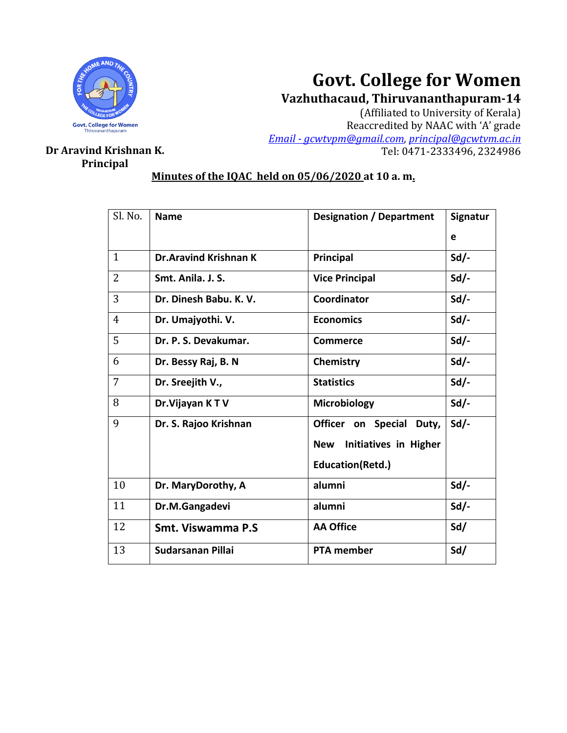

# **Govt. College for Women**

**Vazhuthacaud, Thiruvananthapuram-14**

(Affiliated to University of Kerala) Reaccredited by NAAC with 'A' grade *Email - [gcwtvpm@gmail.com,](mailto:Email%20-%20gcwtvpm@gmail.com) [principal@gcwtvm.ac.in](mailto:principal@gcwtvm.ac.in)* **Dr Aravind Krishnan K.** Tel: 0471-2333496, 2324986

## **Principal**

### **Minutes of the IQAC held on 05/06/2020 at 10 a. m.**

| Sl. No.        | <b>Name</b>                  | <b>Designation / Department</b>            | Signatur |
|----------------|------------------------------|--------------------------------------------|----------|
|                |                              |                                            | e        |
| $\mathbf{1}$   | <b>Dr.Aravind Krishnan K</b> | Principal                                  | $Sd$ .   |
| $\overline{2}$ | Smt. Anila. J. S.            | <b>Vice Principal</b>                      | $Sd/-$   |
| 3              | Dr. Dinesh Babu. K. V.       | Coordinator                                | $Sd$ .   |
| $\overline{4}$ | Dr. Umajyothi. V.            | <b>Economics</b>                           | $Sd$ -   |
| 5              | Dr. P. S. Devakumar.         | <b>Commerce</b>                            | $Sd/-$   |
| 6              | Dr. Bessy Raj, B. N          | Chemistry                                  | $Sd$ -   |
| 7              | Dr. Sreejith V.,             | <b>Statistics</b>                          | $Sd$ .   |
| 8              | Dr. Vijayan KTV              | <b>Microbiology</b>                        | $Sd$ -   |
| 9              | Dr. S. Rajoo Krishnan        | Officer on Special Duty,                   | $Sd$ .   |
|                |                              | <b>Initiatives in Higher</b><br><b>New</b> |          |
|                |                              | Education(Retd.)                           |          |
| 10             | Dr. MaryDorothy, A           | alumni                                     | $Sd/-$   |
| 11             | Dr.M.Gangadevi               | alumni                                     | $Sd$ .   |
| 12             | Smt. Viswamma P.S.           | <b>AA Office</b>                           | Sd/      |
| 13             | Sudarsanan Pillai            | <b>PTA member</b>                          | Sd/      |